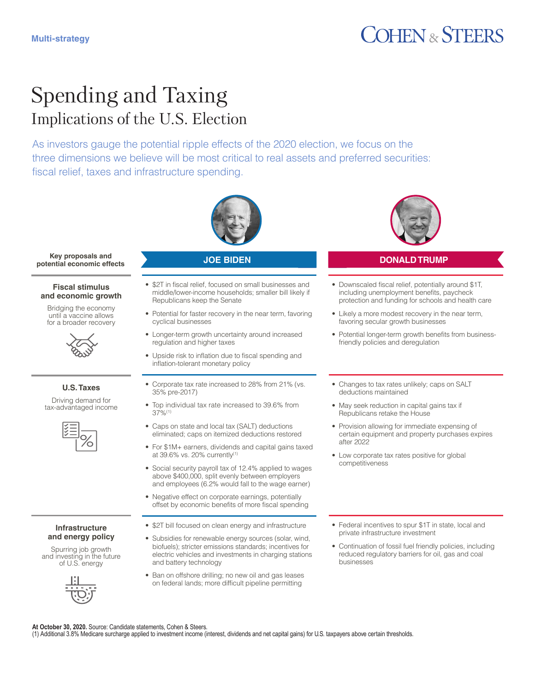# Spending and Taxing Implications of the U.S. Election

As investors gauge the potential ripple effects of the 2020 election, we focus on the three dimensions we believe will be most critical to real assets and preferred securities: fiscal relief, taxes and infrastructure spending.



\$2T in fiscal relief, focused on small businesses and middle/lower-income households; smaller bill likely if

Potential for faster recovery in the near term, favoring

Republicans keep the Senate

regulation and higher taxes

inflation-tolerant monetary policy

cyclical businesses

#### **Key proposals and potential economic effects**

#### **Fiscal stimulus and economic growth**

Bridging the economy until a vaccine allows for a broader recovery



## **U.S. Taxes**

Driving demand for tax-advantaged income



#### **Infrastructure and energy policy**

Spurring job growth and investing in the future of U.S. energy



• Corporate tax rate increased to 28% from 21% (vs. 35% pre-2017)

• Longer-term growth uncertainty around increased

• Upside risk to inflation due to fiscal spending and

- Top individual tax rate increased to 39.6% from  $37\%$ <sup>(1)</sup>
- Caps on state and local tax (SALT) deductions eliminated; caps on itemized deductions restored
- For \$1M+ earners, dividends and capital gains taxed at 39.6% vs. 20% currently(1)
- Social security payroll tax of 12.4% applied to wages above \$400,000, split evenly between employers and employees (6.2% would fall to the wage earner)
- Negative effect on corporate earnings, potentially offset by economic benefits of more fiscal spending
- \$2T bill focused on clean energy and infrastructure
- Subsidies for renewable energy sources (solar, wind, biofuels); stricter emissions standards; incentives for electric vehicles and investments in charging stations and battery technology
- Ban on offshore drilling; no new oil and gas leases on federal lands; more difficult pipeline permitting



# **JOE BIDEN DONALD TRUMP**

- Downscaled fiscal relief, potentially around \$1T, including unemployment benefits, paycheck protection and funding for schools and health care
- Likely a more modest recovery in the near term, favoring secular growth businesses
- Potential longer-term growth benefits from businessfriendly policies and deregulation
- Changes to tax rates unlikely; caps on SALT deductions maintained
- May seek reduction in capital gains tax if Republicans retake the House
- Provision allowing for immediate expensing of certain equipment and property purchases expires after 2022
- Low corporate tax rates positive for global competitiveness
- Federal incentives to spur \$1T in state, local and private infrastructure investment
- Continuation of fossil fuel friendly policies, including reduced regulatory barriers for oil, gas and coal businesses

**At October 30, 2020.** Source: Candidate statements, Cohen & Steers.

(1) Additional 3.8% Medicare surcharge applied to investment income (interest, dividends and net capital gains) for U.S. taxpayers above certain thresholds.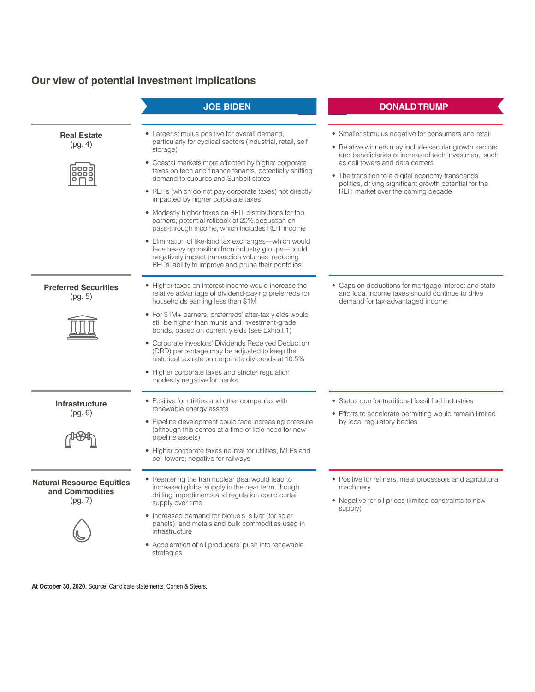# **Our view of potential investment implications**

|                                                                | <b>JOE BIDEN</b>                                                                                                                                                                                                                                        | <b>DONALD TRUMP</b>                                                                                                                                                                                                                                                                                                                                          |
|----------------------------------------------------------------|---------------------------------------------------------------------------------------------------------------------------------------------------------------------------------------------------------------------------------------------------------|--------------------------------------------------------------------------------------------------------------------------------------------------------------------------------------------------------------------------------------------------------------------------------------------------------------------------------------------------------------|
| <b>Real Estate</b><br>(pg. 4)                                  | • Larger stimulus positive for overall demand,<br>particularly for cyclical sectors (industrial, retail, self<br>storage)                                                                                                                               | • Smaller stimulus negative for consumers and retail<br>• Relative winners may include secular growth sectors<br>and beneficiaries of increased tech investment, such<br>as cell towers and data centers<br>• The transition to a digital economy transcends<br>politics, driving significant growth potential for the<br>REIT market over the coming decade |
| 0000<br>0000                                                   | • Coastal markets more affected by higher corporate<br>taxes on tech and finance tenants, potentially shifting<br>demand to suburbs and Sunbelt states<br>• REITs (which do not pay corporate taxes) not directly<br>impacted by higher corporate taxes |                                                                                                                                                                                                                                                                                                                                                              |
|                                                                | • Modestly higher taxes on REIT distributions for top<br>earners; potential rollback of 20% deduction on<br>pass-through income, which includes REIT income                                                                                             |                                                                                                                                                                                                                                                                                                                                                              |
|                                                                | • Elimination of like-kind tax exchanges-which would<br>face heavy opposition from industry groups-could<br>negatively impact transaction volumes, reducing<br>REITs' ability to improve and prune their portfolios                                     |                                                                                                                                                                                                                                                                                                                                                              |
| <b>Preferred Securities</b><br>(pg. 5)                         | • Higher taxes on interest income would increase the<br>relative advantage of dividend-paying preferreds for<br>households earning less than \$1M                                                                                                       | • Caps on deductions for mortgage interest and state<br>and local income taxes should continue to drive<br>demand for tax-advantaged income                                                                                                                                                                                                                  |
|                                                                | • For \$1M+ earners, preferreds' after-tax yields would<br>still be higher than munis and investment-grade<br>bonds, based on current yields (see Exhibit 1)                                                                                            |                                                                                                                                                                                                                                                                                                                                                              |
|                                                                | • Corporate investors' Dividends Received Deduction<br>(DRD) percentage may be adjusted to keep the<br>historical tax rate on corporate dividends at 10.5%                                                                                              |                                                                                                                                                                                                                                                                                                                                                              |
|                                                                | • Higher corporate taxes and stricter regulation<br>modestly negative for banks                                                                                                                                                                         |                                                                                                                                                                                                                                                                                                                                                              |
| <b>Infrastructure</b><br>(pg. 6)                               | • Positive for utilities and other companies with<br>renewable energy assets                                                                                                                                                                            | • Status quo for traditional fossil fuel industries<br>• Efforts to accelerate permitting would remain limited<br>by local regulatory bodies                                                                                                                                                                                                                 |
|                                                                | • Pipeline development could face increasing pressure<br>(although this comes at a time of little need for new<br>pipeline assets)                                                                                                                      |                                                                                                                                                                                                                                                                                                                                                              |
|                                                                | • Higher corporate taxes neutral for utilities, MLPs and<br>cell towers; negative for railways                                                                                                                                                          |                                                                                                                                                                                                                                                                                                                                                              |
| <b>Natural Resource Equities</b><br>and Commodities<br>(pq. 7) | • Reentering the Iran nuclear deal would lead to<br>increased global supply in the near term, though                                                                                                                                                    | • Positive for refiners, meat processors and agricultural<br>machinery                                                                                                                                                                                                                                                                                       |
|                                                                | drilling impediments and regulation could curtail<br>supply over time                                                                                                                                                                                   | • Negative for oil prices (limited constraints to new<br>supply)                                                                                                                                                                                                                                                                                             |
|                                                                | • Increased demand for biofuels, silver (for solar<br>panels), and metals and bulk commodities used in<br>infrastructure                                                                                                                                |                                                                                                                                                                                                                                                                                                                                                              |
|                                                                | • Acceleration of oil producers' push into renewable<br>strategies                                                                                                                                                                                      |                                                                                                                                                                                                                                                                                                                                                              |

**At October 30, 2020.** Source: Candidate statements, Cohen & Steers.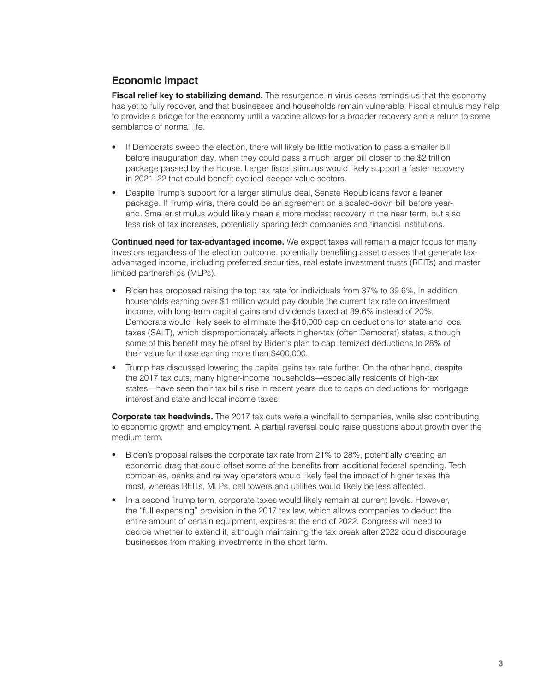# **Economic impact**

Fiscal relief key to stabilizing demand. The resurgence in virus cases reminds us that the economy has yet to fully recover, and that businesses and households remain vulnerable. Fiscal stimulus may help to provide a bridge for the economy until a vaccine allows for a broader recovery and a return to some semblance of normal life.

- If Democrats sweep the election, there will likely be little motivation to pass a smaller bill before inauguration day, when they could pass a much larger bill closer to the \$2 trillion package passed by the House. Larger fiscal stimulus would likely support a faster recovery in 2021–22 that could benefit cyclical deeper-value sectors.
- Despite Trump's support for a larger stimulus deal, Senate Republicans favor a leaner package. If Trump wins, there could be an agreement on a scaled-down bill before yearend. Smaller stimulus would likely mean a more modest recovery in the near term, but also less risk of tax increases, potentially sparing tech companies and financial institutions.

**Continued need for tax-advantaged income.** We expect taxes will remain a major focus for many investors regardless of the election outcome, potentially benefiting asset classes that generate taxadvantaged income, including preferred securities, real estate investment trusts (REITs) and master limited partnerships (MLPs).

- Biden has proposed raising the top tax rate for individuals from 37% to 39.6%. In addition, households earning over \$1 million would pay double the current tax rate on investment income, with long-term capital gains and dividends taxed at 39.6% instead of 20%. Democrats would likely seek to eliminate the \$10,000 cap on deductions for state and local taxes (SALT), which disproportionately affects higher-tax (often Democrat) states, although some of this benefit may be offset by Biden's plan to cap itemized deductions to 28% of their value for those earning more than \$400,000.
- Trump has discussed lowering the capital gains tax rate further. On the other hand, despite the 2017 tax cuts, many higher-income households—especially residents of high-tax states—have seen their tax bills rise in recent years due to caps on deductions for mortgage interest and state and local income taxes.

**Corporate tax headwinds.** The 2017 tax cuts were a windfall to companies, while also contributing to economic growth and employment. A partial reversal could raise questions about growth over the medium term.

- Biden's proposal raises the corporate tax rate from 21% to 28%, potentially creating an economic drag that could offset some of the benefits from additional federal spending. Tech companies, banks and railway operators would likely feel the impact of higher taxes the most, whereas REITs, MLPs, cell towers and utilities would likely be less affected.
- In a second Trump term, corporate taxes would likely remain at current levels. However, the "full expensing" provision in the 2017 tax law, which allows companies to deduct the entire amount of certain equipment, expires at the end of 2022. Congress will need to decide whether to extend it, although maintaining the tax break after 2022 could discourage businesses from making investments in the short term.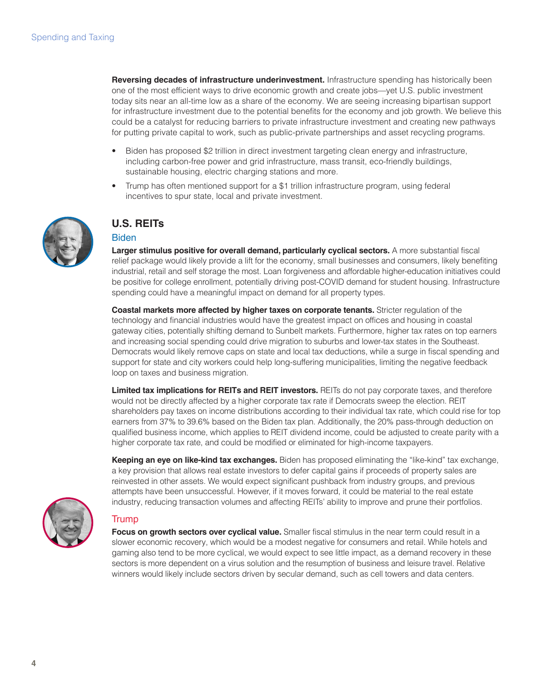**Reversing decades of infrastructure underinvestment.** Infrastructure spending has historically been one of the most efficient ways to drive economic growth and create jobs—yet U.S. public investment today sits near an all-time low as a share of the economy. We are seeing increasing bipartisan support for infrastructure investment due to the potential benefits for the economy and job growth. We believe this could be a catalyst for reducing barriers to private infrastructure investment and creating new pathways for putting private capital to work, such as public-private partnerships and asset recycling programs.

- Biden has proposed \$2 trillion in direct investment targeting clean energy and infrastructure, including carbon-free power and grid infrastructure, mass transit, eco-friendly buildings, sustainable housing, electric charging stations and more.
- Trump has often mentioned support for a \$1 trillion infrastructure program, using federal incentives to spur state, local and private investment.



# **U.S. REITs**

# Biden

**Larger stimulus positive for overall demand, particularly cyclical sectors.** A more substantial fiscal relief package would likely provide a lift for the economy, small businesses and consumers, likely benefiting industrial, retail and self storage the most. Loan forgiveness and affordable higher-education initiatives could be positive for college enrollment, potentially driving post-COVID demand for student housing. Infrastructure spending could have a meaningful impact on demand for all property types.

**Coastal markets more affected by higher taxes on corporate tenants.** Stricter regulation of the technology and financial industries would have the greatest impact on offices and housing in coastal gateway cities, potentially shifting demand to Sunbelt markets. Furthermore, higher tax rates on top earners and increasing social spending could drive migration to suburbs and lower-tax states in the Southeast. Democrats would likely remove caps on state and local tax deductions, while a surge in fiscal spending and support for state and city workers could help long-suffering municipalities, limiting the negative feedback loop on taxes and business migration.

**Limited tax implications for REITs and REIT investors.** REITs do not pay corporate taxes, and therefore would not be directly affected by a higher corporate tax rate if Democrats sweep the election. REIT shareholders pay taxes on income distributions according to their individual tax rate, which could rise for top earners from 37% to 39.6% based on the Biden tax plan. Additionally, the 20% pass-through deduction on qualified business income, which applies to REIT dividend income, could be adjusted to create parity with a higher corporate tax rate, and could be modified or eliminated for high-income taxpayers.

**Keeping an eye on like-kind tax exchanges.** Biden has proposed eliminating the "like-kind" tax exchange, a key provision that allows real estate investors to defer capital gains if proceeds of property sales are reinvested in other assets. We would expect significant pushback from industry groups, and previous attempts have been unsuccessful. However, if it moves forward, it could be material to the real estate industry, reducing transaction volumes and affecting REITs' ability to improve and prune their portfolios.



# Trump

**Focus on growth sectors over cyclical value.** Smaller fiscal stimulus in the near term could result in a slower economic recovery, which would be a modest negative for consumers and retail. While hotels and gaming also tend to be more cyclical, we would expect to see little impact, as a demand recovery in these sectors is more dependent on a virus solution and the resumption of business and leisure travel. Relative winners would likely include sectors driven by secular demand, such as cell towers and data centers.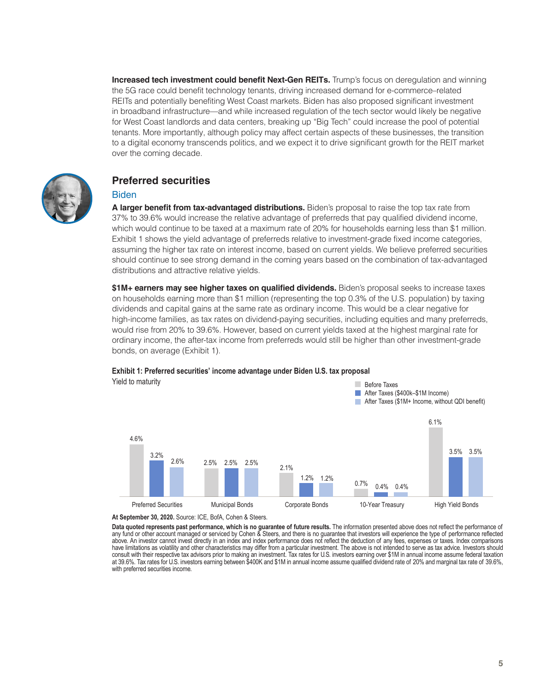**Increased tech investment could benefit Next-Gen REITs.** Trump's focus on deregulation and winning the 5G race could benefit technology tenants, driving increased demand for e-commerce–related REITs and potentially benefiting West Coast markets. Biden has also proposed significant investment in broadband infrastructure—and while increased regulation of the tech sector would likely be negative for West Coast landlords and data centers, breaking up "Big Tech" could increase the pool of potential tenants. More importantly, although policy may affect certain aspects of these businesses, the transition to a digital economy transcends politics, and we expect it to drive significant growth for the REIT market over the coming decade.



# **Preferred securities**

#### Biden

**A larger benefit from tax-advantaged distributions.** Biden's proposal to raise the top tax rate from 37% to 39.6% would increase the relative advantage of preferreds that pay qualified dividend income, which would continue to be taxed at a maximum rate of 20% for households earning less than \$1 million. Exhibit 1 shows the yield advantage of preferreds relative to investment-grade fixed income categories, assuming the higher tax rate on interest income, based on current yields. We believe preferred securities should continue to see strong demand in the coming years based on the combination of tax-advantaged distributions and attractive relative yields.

**\$1M+ earners may see higher taxes on qualified dividends.** Biden's proposal seeks to increase taxes on households earning more than \$1 million (representing the top 0.3% of the U.S. population) by taxing dividends and capital gains at the same rate as ordinary income. This would be a clear negative for high-income families, as tax rates on dividend-paying securities, including equities and many preferreds, would rise from 20% to 39.6%. However, based on current yields taxed at the highest marginal rate for ordinary income, the after-tax income from preferreds would still be higher than other investment-grade bonds, on average (Exhibit 1).



# **Exhibit 1: Preferred securities' income advantage under Biden U.S. tax proposal**

**At September 30, 2020.** Source: ICE, BofA, Cohen & Steers.

**Data quoted represents past performance, which is no guarantee of future results.** The information presented above does not reflect the performance of any fund or other account managed or serviced by Cohen & Steers, and there is no guarantee that investors will experience the type of performance reflected above. An investor cannot invest directly in an index and index performance does not reflect the deduction of any fees, expenses or taxes. Index comparisons have limitations as volatility and other characteristics may differ from a particular investment. The above is not intended to serve as tax advice. Investors should consult with their respective tax advisors prior to making an investment. Tax rates for U.S. investors earning over \$1M in annual income assume federal taxation at 39.6%. Tax rates for U.S. investors earning between \$400K and \$1M in annual income assume qualified dividend rate of 20% and marginal tax rate of 39.6%, with preferred securities income.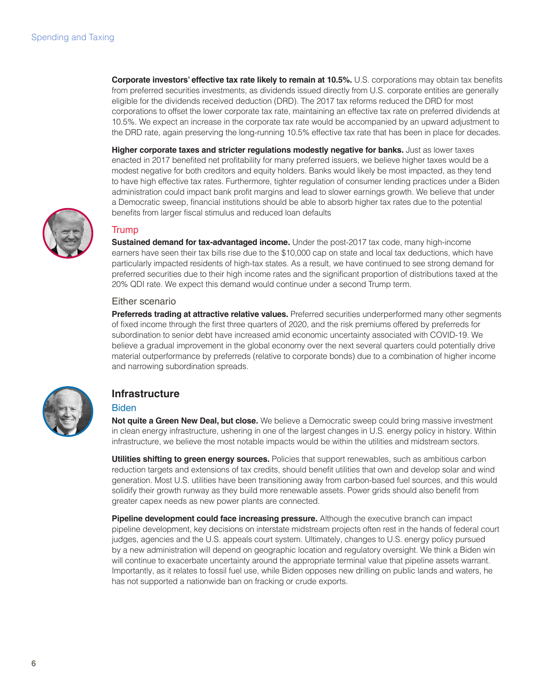**Corporate investors' effective tax rate likely to remain at 10.5%.** U.S. corporations may obtain tax benefits from preferred securities investments, as dividends issued directly from U.S. corporate entities are generally eligible for the dividends received deduction (DRD). The 2017 tax reforms reduced the DRD for most corporations to offset the lower corporate tax rate, maintaining an effective tax rate on preferred dividends at 10.5%. We expect an increase in the corporate tax rate would be accompanied by an upward adjustment to the DRD rate, again preserving the long-running 10.5% effective tax rate that has been in place for decades.

**Higher corporate taxes and stricter regulations modestly negative for banks.** Just as lower taxes enacted in 2017 benefited net profitability for many preferred issuers, we believe higher taxes would be a modest negative for both creditors and equity holders. Banks would likely be most impacted, as they tend to have high effective tax rates. Furthermore, tighter regulation of consumer lending practices under a Biden administration could impact bank profit margins and lead to slower earnings growth. We believe that under a Democratic sweep, financial institutions should be able to absorb higher tax rates due to the potential benefits from larger fiscal stimulus and reduced loan defaults



# Trump

**Sustained demand for tax-advantaged income.** Under the post-2017 tax code, many high-income earners have seen their tax bills rise due to the \$10,000 cap on state and local tax deductions, which have particularly impacted residents of high-tax states. As a result, we have continued to see strong demand for preferred securities due to their high income rates and the significant proportion of distributions taxed at the 20% QDI rate. We expect this demand would continue under a second Trump term.

### Either scenario

**Preferreds trading at attractive relative values.** Preferred securities underperformed many other segments of fixed income through the first three quarters of 2020, and the risk premiums offered by preferreds for subordination to senior debt have increased amid economic uncertainty associated with COVID-19. We believe a gradual improvement in the global economy over the next several quarters could potentially drive material outperformance by preferreds (relative to corporate bonds) due to a combination of higher income and narrowing subordination spreads.



# **Infrastructure**

## Biden

**Not quite a Green New Deal, but close.** We believe a Democratic sweep could bring massive investment in clean energy infrastructure, ushering in one of the largest changes in U.S. energy policy in history. Within infrastructure, we believe the most notable impacts would be within the utilities and midstream sectors.

**Utilities shifting to green energy sources.** Policies that support renewables, such as ambitious carbon reduction targets and extensions of tax credits, should benefit utilities that own and develop solar and wind generation. Most U.S. utilities have been transitioning away from carbon-based fuel sources, and this would solidify their growth runway as they build more renewable assets. Power grids should also benefit from greater capex needs as new power plants are connected.

**Pipeline development could face increasing pressure.** Although the executive branch can impact pipeline development, key decisions on interstate midstream projects often rest in the hands of federal court judges, agencies and the U.S. appeals court system. Ultimately, changes to U.S. energy policy pursued by a new administration will depend on geographic location and regulatory oversight. We think a Biden win will continue to exacerbate uncertainty around the appropriate terminal value that pipeline assets warrant. Importantly, as it relates to fossil fuel use, while Biden opposes new drilling on public lands and waters, he has not supported a nationwide ban on fracking or crude exports.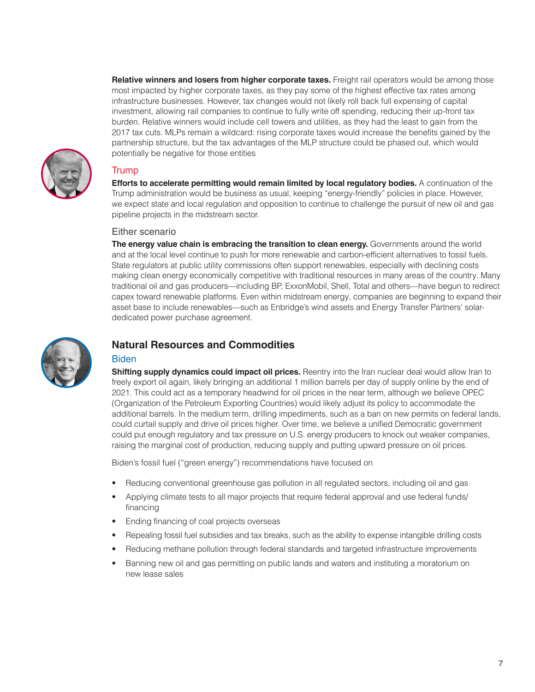

### Trump

**Efforts to accelerate permitting would remain limited by local regulatory bodies.** A continuation of the Trump administration would be business as usual, keeping "energy-friendly" policies in place. However, we expect state and local regulation and opposition to continue to challenge the pursuit of new oil and gas pipeline projects in the midstream sector.

**Relative winners and losers from higher corporate taxes.** Freight rail operators would be among those most impacted by higher corporate taxes, as they pay some of the highest effective tax rates among infrastructure businesses. However, tax changes would not likely roll back full expensing of capital investment, allowing rail companies to continue to fully write off spending, reducing their up-front tax burden. Relative winners would include cell towers and utilities, as they had the least to gain from the 2017 tax cuts. MLPs remain a wildcard: rising corporate taxes would increase the benefits gained by the partnership structure, but the tax advantages of the MLP structure could be phased out, which would

#### Either scenario

**The energy value chain is embracing the transition to clean energy.** Governments around the world and at the local level continue to push for more renewable and carbon-efficient alternatives to fossil fuels. State regulators at public utility commissions often support renewables, especially with declining costs making clean energy economically competitive with traditional resources in many areas of the country. Many traditional oil and gas producers—including BP, ExxonMobil, Shell, Total and others—have begun to redirect capex toward renewable platforms. Even within midstream energy, companies are beginning to expand their asset base to include renewables—such as Enbridge's wind assets and Energy Transfer Partners' solardedicated power purchase agreement.



# **Natural Resources and Commodities**

potentially be negative for those entities

#### Biden

**Shifting supply dynamics could impact oil prices.** Reentry into the Iran nuclear deal would allow Iran to freely export oil again, likely bringing an additional 1 million barrels per day of supply online by the end of 2021. This could act as a temporary headwind for oil prices in the near term, although we believe OPEC (Organization of the Petroleum Exporting Countries) would likely adjust its policy to accommodate the additional barrels. In the medium term, drilling impediments, such as a ban on new permits on federal lands, could curtail supply and drive oil prices higher. Over time, we believe a unified Democratic government could put enough regulatory and tax pressure on U.S. energy producers to knock out weaker companies, raising the marginal cost of production, reducing supply and putting upward pressure on oil prices.

Biden's fossil fuel ("green energy") recommendations have focused on

- Reducing conventional greenhouse gas pollution in all regulated sectors, including oil and gas
- Applying climate tests to all major projects that require federal approval and use federal funds/ financing
- Ending financing of coal projects overseas
- Repealing fossil fuel subsidies and tax breaks, such as the ability to expense intangible drilling costs
- Reducing methane pollution through federal standards and targeted infrastructure improvements
- Banning new oil and gas permitting on public lands and waters and instituting a moratorium on new lease sales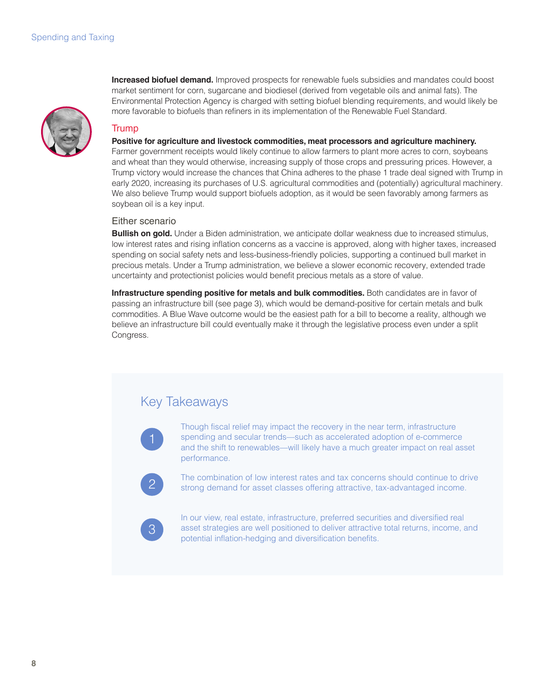# Trump

#### **Positive for agriculture and livestock commodities, meat processors and agriculture machinery.**

more favorable to biofuels than refiners in its implementation of the Renewable Fuel Standard.

**Increased biofuel demand.** Improved prospects for renewable fuels subsidies and mandates could boost market sentiment for corn, sugarcane and biodiesel (derived from vegetable oils and animal fats). The Environmental Protection Agency is charged with setting biofuel blending requirements, and would likely be

Farmer government receipts would likely continue to allow farmers to plant more acres to corn, soybeans and wheat than they would otherwise, increasing supply of those crops and pressuring prices. However, a Trump victory would increase the chances that China adheres to the phase 1 trade deal signed with Trump in early 2020, increasing its purchases of U.S. agricultural commodities and (potentially) agricultural machinery. We also believe Trump would support biofuels adoption, as it would be seen favorably among farmers as soybean oil is a key input.

#### Either scenario

**Bullish on gold.** Under a Biden administration, we anticipate dollar weakness due to increased stimulus, low interest rates and rising inflation concerns as a vaccine is approved, along with higher taxes, increased spending on social safety nets and less-business-friendly policies, supporting a continued bull market in precious metals. Under a Trump administration, we believe a slower economic recovery, extended trade uncertainty and protectionist policies would benefit precious metals as a store of value.

**Infrastructure spending positive for metals and bulk commodities.** Both candidates are in favor of passing an infrastructure bill (see page 3), which would be demand-positive for certain metals and bulk commodities. A Blue Wave outcome would be the easiest path for a bill to become a reality, although we believe an infrastructure bill could eventually make it through the legislative process even under a split Congress.

# Key Takeaways

2

3

Though fiscal relief may impact the recovery in the near term, infrastructure spending and secular trends—such as accelerated adoption of e-commerce and the shift to renewables—will likely have a much greater impact on real asset performance.

The combination of low interest rates and tax concerns should continue to drive strong demand for asset classes offering attractive, tax-advantaged income.

In our view, real estate, infrastructure, preferred securities and diversified real asset strategies are well positioned to deliver attractive total returns, income, and potential inflation-hedging and diversification benefits.